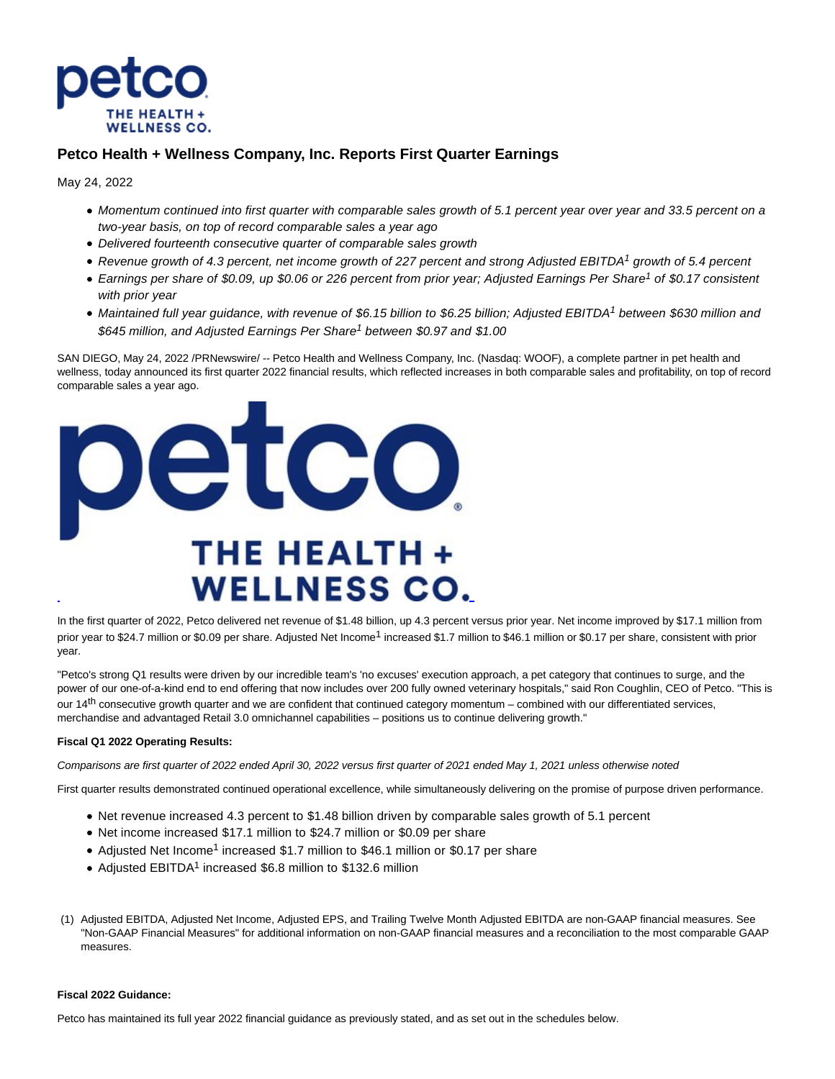

# **Petco Health + Wellness Company, Inc. Reports First Quarter Earnings**

May 24, 2022

- Momentum continued into first quarter with comparable sales growth of 5.1 percent year over year and 33.5 percent on a two-year basis, on top of record comparable sales a year ago
- Delivered fourteenth consecutive quarter of comparable sales growth
- Revenue growth of 4.3 percent, net income growth of 227 percent and strong Adjusted EBITDA<sup>1</sup> growth of 5.4 percent
- Earnings per share of \$0.09, up \$0.06 or 226 percent from prior year; Adjusted Earnings Per Share<sup>1</sup> of \$0.17 consistent with prior year
- Maintained full year guidance, with revenue of \$6.15 billion to \$6.25 billion; Adjusted EBITDA<sup>1</sup> between \$630 million and \$645 million, and Adjusted Earnings Per Share<sup>1</sup> between \$0.97 and \$1.00

SAN DIEGO, May 24, 2022 /PRNewswire/ -- Petco Health and Wellness Company, Inc. (Nasdaq: WOOF), a complete partner in pet health and wellness, today announced its first quarter 2022 financial results, which reflected increases in both comparable sales and profitability, on top of record comparable sales a year ago.



In the first quarter of 2022, Petco delivered net revenue of \$1.48 billion, up 4.3 percent versus prior year. Net income improved by \$17.1 million from prior year to \$24.7 million or \$0.09 per share. Adjusted Net Income<sup>1</sup> increased \$1.7 million to \$46.1 million or \$0.17 per share, consistent with prior year.

"Petco's strong Q1 results were driven by our incredible team's 'no excuses' execution approach, a pet category that continues to surge, and the power of our one-of-a-kind end to end offering that now includes over 200 fully owned veterinary hospitals," said Ron Coughlin, CEO of Petco. "This is our  $14<sup>th</sup>$  consecutive growth quarter and we are confident that continued category momentum – combined with our differentiated services, merchandise and advantaged Retail 3.0 omnichannel capabilities – positions us to continue delivering growth."

# **Fiscal Q1 2022 Operating Results:**

Comparisons are first quarter of 2022 ended April 30, 2022 versus first quarter of 2021 ended May 1, 2021 unless otherwise noted

First quarter results demonstrated continued operational excellence, while simultaneously delivering on the promise of purpose driven performance.

- Net revenue increased 4.3 percent to \$1.48 billion driven by comparable sales growth of 5.1 percent
- Net income increased \$17.1 million to \$24.7 million or \$0.09 per share
- Adjusted Net Income<sup>1</sup> increased \$1.7 million to \$46.1 million or \$0.17 per share
- Adjusted EBITDA<sup>1</sup> increased \$6.8 million to \$132.6 million
- (1) Adjusted EBITDA, Adjusted Net Income, Adjusted EPS, and Trailing Twelve Month Adjusted EBITDA are non-GAAP financial measures. See "Non-GAAP Financial Measures" for additional information on non-GAAP financial measures and a reconciliation to the most comparable GAAP measures.

# **Fiscal 2022 Guidance:**

Petco has maintained its full year 2022 financial guidance as previously stated, and as set out in the schedules below.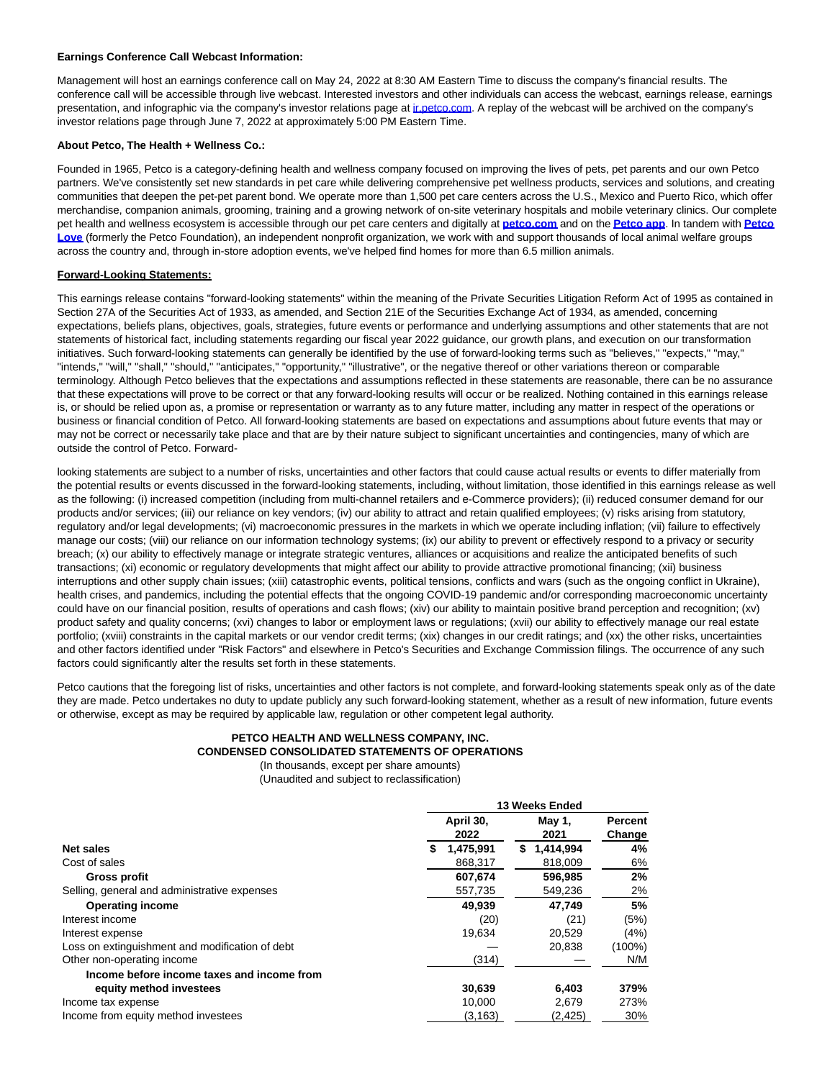#### **Earnings Conference Call Webcast Information:**

Management will host an earnings conference call on May 24, 2022 at 8:30 AM Eastern Time to discuss the company's financial results. The conference call will be accessible through live webcast. Interested investors and other individuals can access the webcast, earnings release, earnings presentation, and infographic via the company's investor relations page at *inpetco.com*. A replay of the webcast will be archived on the company's investor relations page through June 7, 2022 at approximately 5:00 PM Eastern Time.

### **About Petco, The Health + Wellness Co.:**

Founded in 1965, Petco is a category-defining health and wellness company focused on improving the lives of pets, pet parents and our own Petco partners. We've consistently set new standards in pet care while delivering comprehensive pet wellness products, services and solutions, and creating communities that deepen the pet-pet parent bond. We operate more than 1,500 pet care centers across the U.S., Mexico and Puerto Rico, which offer merchandise, companion animals, grooming, training and a growing network of on-site veterinary hospitals and mobile veterinary clinics. Our complete pet health and wellness ecosystem is accessible through our pet care centers and digitally at **[petco.com](https://c212.net/c/link/?t=0&l=en&o=3543489-1&h=677179170&u=https%3A%2F%2Fc212.net%2Fc%2Flink%2F%3Ft%3D0%26l%3Den%26o%3D3276883-1%26h%3D683328306%26u%3Dhttps%253A%252F%252Fnam12.safelinks.protection.outlook.com%252F%253Furl%253Dhttps%25253A%25252F%25252Fc212.net%25252Fc%25252Flink%25252F%25253Ft%25253D0%252526l%25253Den%252526o%25253D3264315-1%252526h%25253D1999365729%252526u%25253Dhttps%2525253A%2525252F%2525252Fnam12.safelinks.protection.outlook.com%2525252F%2525253Furl%2525253Dhttps%252525253A%252525252F%252525252Fwww.petco.com%252525252Fshop%252525252Fen%252525252Fpetcostore%252525253Fcm_mmc%252525253DPBR%25252525257CPRR%25252525257CCCY%25252525257CCCO%25252525257CPR%25252525257C0%25252525257C7tWTCxscYd3ACU1tBiw4Em%25252525257C0%25252525257C0%25252525257C0%25252525257C0%25252526data%2525253D04%252525257C01%252525257CVentura.Olvera%2525252540PETCO.com%252525257C553b8d94d64345264fa908d93d86da45%252525257C1281036727b241b1a5897c74628d957d%252525257C0%252525257C0%252525257C637608472843934972%252525257CUnknown%252525257CTWFpbGZsb3d8eyJWIjoiMC4wLjAwMDAiLCJQIjoiV2luMzIiLCJBTiI6Ik1haWwiLCJXVCI6Mn0%252525253D%252525257C2000%25252526sdata%2525253DuO5rn%252525252F4IIYNtbc%252525252F3nZlickvez8Sf1Vz9AtS9ycZ8gUM%252525253D%25252526reserved%2525253D0%252526a%25253Dpetco.com%2526data%253D04%25257C01%25257CDanielle.Alvarado%252540petco.com%25257C8c67fcf6991a43b00bc208d9668fe054%25257C1281036727b241b1a5897c74628d957d%25257C0%25257C0%25257C637653590439907698%25257CUnknown%25257CTWFpbGZsb3d8eyJWIjoiMC4wLjAwMDAiLCJQIjoiV2luMzIiLCJBTiI6Ik1haWwiLCJXVCI6Mn0%25253D%25257C1000%2526sdata%253Dls%25252F3rV2iBnysfaUhI5xzfz%25252FO1hh9748mVhRYPzAanzI%25253D%2526reserved%253D0%26a%3Dpetco.com&a=petco.com)** and on the **[Petco app](https://c212.net/c/link/?t=0&l=en&o=3543489-1&h=2780965945&u=https%3A%2F%2Fc212.net%2Fc%2Flink%2F%3Ft%3D0%26l%3Den%26o%3D3276883-1%26h%3D3099260738%26u%3Dhttps%253A%252F%252Fnam12.safelinks.protection.outlook.com%252F%253Furl%253Dhttps%25253A%25252F%25252Fc212.net%25252Fc%25252Flink%25252F%25253Ft%25253D0%252526l%25253Den%252526o%25253D3264315-1%252526h%25253D4291449378%252526u%25253Dhttps%2525253A%2525252F%2525252Fnam12.safelinks.protection.outlook.com%2525252F%2525253Furl%2525253Dhttps%252525253A%252525252F%252525252Fpetco.app%252525252FqH04K5L8vhb%25252526data%2525253D04%252525257C01%252525257CVentura.Olvera%2525252540PETCO.com%252525257C553b8d94d64345264fa908d93d86da45%252525257C1281036727b241b1a5897c74628d957d%252525257C0%252525257C0%252525257C637608472843934972%252525257CUnknown%252525257CTWFpbGZsb3d8eyJWIjoiMC4wLjAwMDAiLCJQIjoiV2luMzIiLCJBTiI6Ik1haWwiLCJXVCI6Mn0%252525253D%252525257C2000%25252526sdata%2525253DE%252525252B9VkE5kN26AtS5zPZ%252525252B9h9bvz83wgsAxRbfNq1otsMA%252525253D%25252526reserved%2525253D0%252526a%25253DPetco%25252Bapp%2526data%253D04%25257C01%25257CDanielle.Alvarado%252540petco.com%25257C8c67fcf6991a43b00bc208d9668fe054%25257C1281036727b241b1a5897c74628d957d%25257C0%25257C0%25257C637653590439907698%25257CUnknown%25257CTWFpbGZsb3d8eyJWIjoiMC4wLjAwMDAiLCJQIjoiV2luMzIiLCJBTiI6Ik1haWwiLCJXVCI6Mn0%25253D%25257C1000%2526sdata%253DRdt7g8XpblToLGSwGb0RLgC%25252BurQ31UJHUddMu71nYbM%25253D%2526reserved%253D0%26a%3DPetco%2Bapp&a=Petco+app)**. In tandem with **[Petco](https://c212.net/c/link/?t=0&l=en&o=3543489-1&h=2703010721&u=https%3A%2F%2Fc212.net%2Fc%2Flink%2F%3Ft%3D0%26l%3Den%26o%3D3276883-1%26h%3D820408004%26u%3Dhttps%253A%252F%252Fnam12.safelinks.protection.outlook.com%252F%253Furl%253Dhttps%25253A%25252F%25252Fc212.net%25252Fc%25252Flink%25252F%25253Ft%25253D0%252526l%25253Den%252526o%25253D3264315-1%252526h%25253D2420695824%252526u%25253Dhttps%2525253A%2525252F%2525252Fnam12.safelinks.protection.outlook.com%2525252F%2525253Furl%2525253Dhttps%252525253A%252525252F%252525252Fpetcolove.org%252525252F%252525253Futm_medium%252525253Dpublicrelations%2525252526utm_source%252525253Dpetco-pressrelease%2525252526utm_campaign%252525253Dboilerplate%25252526data%2525253D04%252525257C01%252525257CVentura.Olvera%2525252540PETCO.com%252525257C553b8d94d64345264fa908d93d86da45%252525257C1281036727b241b1a5897c74628d957d%252525257C0%252525257C0%252525257C637608472843944925%252525257CUnknown%252525257CTWFpbGZsb3d8eyJWIjoiMC4wLjAwMDAiLCJQIjoiV2luMzIiLCJBTiI6Ik1haWwiLCJXVCI6Mn0%252525253D%252525257C2000%25252526sdata%2525253D7B%252525252BSUcVQz3HsnrzBdx7ovk44CJTN2OuA4fY1SQUjtyU%252525253D%25252526reserved%2525253D0%252526a%25253DPetco%25252BLove%2526data%253D04%25257C01%25257CDanielle.Alvarado%252540petco.com%25257C8c67fcf6991a43b00bc208d9668fe054%25257C1281036727b241b1a5897c74628d957d%25257C0%25257C0%25257C637653590439917687%25257CUnknown%25257CTWFpbGZsb3d8eyJWIjoiMC4wLjAwMDAiLCJQIjoiV2luMzIiLCJBTiI6Ik1haWwiLCJXVCI6Mn0%25253D%25257C1000%2526sdata%253DlKXyZNNLBTTz7KdQZvqWlOtT4IG4p2vIoZe6jwp51do%25253D%2526reserved%253D0%26a%3DPetco%2BLove&a=Petco+Love) Love** (formerly the Petco Foundation), an independent nonprofit organization, we work with and support thousands of local animal welfare groups across the country and, through in-store adoption events, we've helped find homes for more than 6.5 million animals.

# **Forward-Looking Statements:**

This earnings release contains "forward-looking statements" within the meaning of the Private Securities Litigation Reform Act of 1995 as contained in Section 27A of the Securities Act of 1933, as amended, and Section 21E of the Securities Exchange Act of 1934, as amended, concerning expectations, beliefs plans, objectives, goals, strategies, future events or performance and underlying assumptions and other statements that are not statements of historical fact, including statements regarding our fiscal year 2022 guidance, our growth plans, and execution on our transformation initiatives. Such forward-looking statements can generally be identified by the use of forward-looking terms such as "believes," "expects," "may," "intends," "will," "shall," "should," "anticipates," "opportunity," "illustrative", or the negative thereof or other variations thereon or comparable terminology. Although Petco believes that the expectations and assumptions reflected in these statements are reasonable, there can be no assurance that these expectations will prove to be correct or that any forward-looking results will occur or be realized. Nothing contained in this earnings release is, or should be relied upon as, a promise or representation or warranty as to any future matter, including any matter in respect of the operations or business or financial condition of Petco. All forward-looking statements are based on expectations and assumptions about future events that may or may not be correct or necessarily take place and that are by their nature subject to significant uncertainties and contingencies, many of which are outside the control of Petco. Forward-

looking statements are subject to a number of risks, uncertainties and other factors that could cause actual results or events to differ materially from the potential results or events discussed in the forward-looking statements, including, without limitation, those identified in this earnings release as well as the following: (i) increased competition (including from multi-channel retailers and e-Commerce providers); (ii) reduced consumer demand for our products and/or services; (iii) our reliance on key vendors; (iv) our ability to attract and retain qualified employees; (v) risks arising from statutory, regulatory and/or legal developments; (vi) macroeconomic pressures in the markets in which we operate including inflation; (vii) failure to effectively manage our costs; (viii) our reliance on our information technology systems; (ix) our ability to prevent or effectively respond to a privacy or security breach; (x) our ability to effectively manage or integrate strategic ventures, alliances or acquisitions and realize the anticipated benefits of such transactions; (xi) economic or regulatory developments that might affect our ability to provide attractive promotional financing; (xii) business interruptions and other supply chain issues; (xiii) catastrophic events, political tensions, conflicts and wars (such as the ongoing conflict in Ukraine), health crises, and pandemics, including the potential effects that the ongoing COVID-19 pandemic and/or corresponding macroeconomic uncertainty could have on our financial position, results of operations and cash flows; (xiv) our ability to maintain positive brand perception and recognition; (xv) product safety and quality concerns; (xvi) changes to labor or employment laws or regulations; (xvii) our ability to effectively manage our real estate portfolio; (xviii) constraints in the capital markets or our vendor credit terms; (xix) changes in our credit ratings; and (xx) the other risks, uncertainties and other factors identified under "Risk Factors" and elsewhere in Petco's Securities and Exchange Commission filings. The occurrence of any such factors could significantly alter the results set forth in these statements.

Petco cautions that the foregoing list of risks, uncertainties and other factors is not complete, and forward-looking statements speak only as of the date they are made. Petco undertakes no duty to update publicly any such forward-looking statement, whether as a result of new information, future events or otherwise, except as may be required by applicable law, regulation or other competent legal authority.

# **PETCO HEALTH AND WELLNESS COMPANY, INC. CONDENSED CONSOLIDATED STATEMENTS OF OPERATIONS**

(In thousands, except per share amounts) (Unaudited and subject to reclassification)

|                                                 | 13 Weeks Ended |                   |                |                   |  |  |
|-------------------------------------------------|----------------|-------------------|----------------|-------------------|--|--|
|                                                 |                | April 30,<br>2022 | May 1,<br>2021 | Percent<br>Change |  |  |
| <b>Net sales</b>                                | S              | 1,475,991         | 1,414,994<br>S | 4%                |  |  |
| Cost of sales                                   |                | 868,317           | 818,009        | 6%                |  |  |
| Gross profit                                    |                | 607,674           | 596.985        | 2%                |  |  |
| Selling, general and administrative expenses    |                | 557.735           | 549,236        | 2%                |  |  |
| <b>Operating income</b>                         |                | 49.939            | 47.749         | 5%                |  |  |
| Interest income                                 |                | (20)              | (21)           | (5%)              |  |  |
| Interest expense                                |                | 19,634            | 20,529         | (4%)              |  |  |
| Loss on extinguishment and modification of debt |                |                   | 20.838         | (100%)            |  |  |
| Other non-operating income                      |                | (314)             |                | N/M               |  |  |
| Income before income taxes and income from      |                |                   |                |                   |  |  |
| equity method investees                         |                | 30,639            | 6,403          | 379%              |  |  |
| Income tax expense                              |                | 10,000            | 2,679          | 273%              |  |  |
| Income from equity method investees             |                | (3, 163)          | (2, 425)       | 30%               |  |  |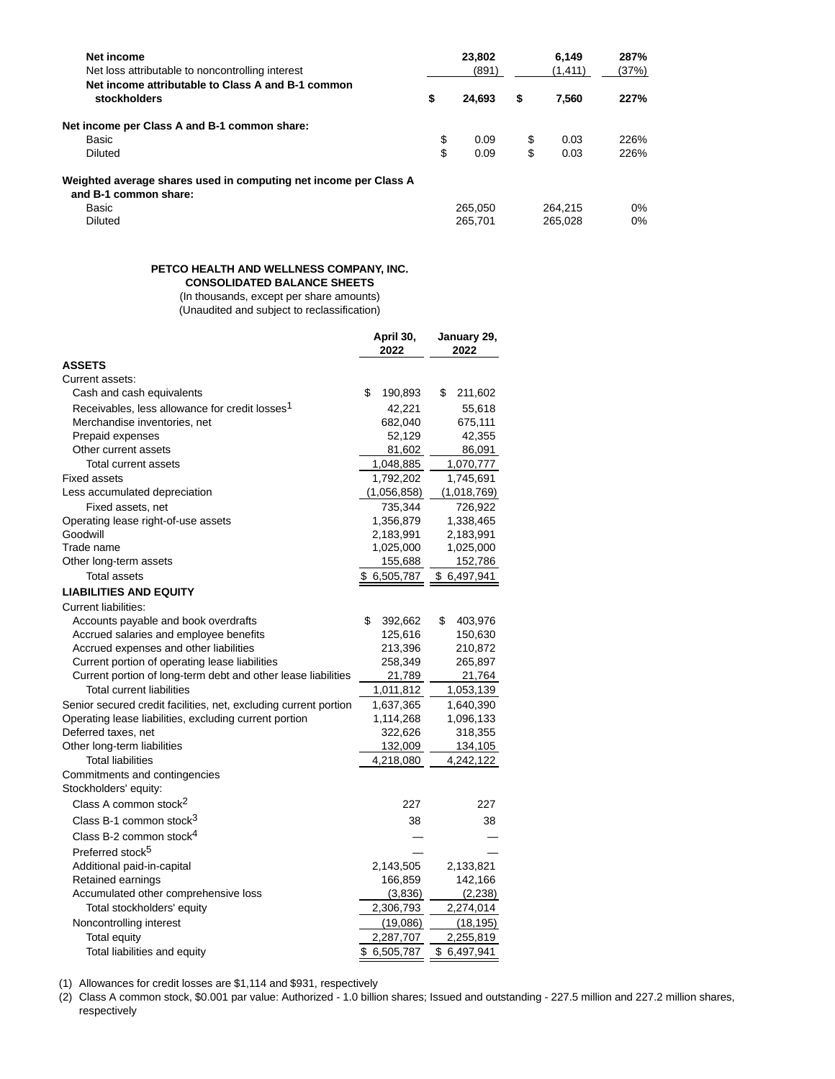| Net income<br>Net loss attributable to noncontrolling interest                            | 23,802<br>(891) | 6.149<br>(1, 411) | 287%<br>(37%) |
|-------------------------------------------------------------------------------------------|-----------------|-------------------|---------------|
| Net income attributable to Class A and B-1 common<br>stockholders                         | \$<br>24.693    | \$<br>7.560       | 227%          |
| Net income per Class A and B-1 common share:                                              |                 |                   |               |
| Basic                                                                                     | \$<br>0.09      | \$<br>0.03        | 226%          |
| Diluted                                                                                   | \$<br>0.09      | \$<br>0.03        | 226%          |
| Weighted average shares used in computing net income per Class A<br>and B-1 common share: |                 |                   |               |
| Basic                                                                                     | 265.050         | 264.215           | $0\%$         |
| Diluted                                                                                   | 265.701         | 265.028           | $0\%$         |

# **PETCO HEALTH AND WELLNESS COMPANY, INC. CONSOLIDATED BALANCE SHEETS**

(In thousands, except per share amounts)

(Unaudited and subject to reclassification)

|                                                                  | April 30,<br>2022 | January 29,<br>2022 |
|------------------------------------------------------------------|-------------------|---------------------|
| <b>ASSETS</b>                                                    |                   |                     |
| Current assets:                                                  |                   |                     |
| Cash and cash equivalents                                        | \$<br>190,893     | \$<br>211,602       |
| Receivables, less allowance for credit losses <sup>1</sup>       | 42,221            | 55,618              |
| Merchandise inventories, net                                     | 682,040           | 675,111             |
| Prepaid expenses                                                 | 52,129            | 42,355              |
| Other current assets                                             | 81,602            | 86,091              |
| Total current assets                                             | 1,048,885         | 1,070,777           |
| <b>Fixed assets</b>                                              | 1,792,202         | 1,745,691           |
| Less accumulated depreciation                                    | (1,056,858)       | (1,018,769)         |
| Fixed assets, net                                                | 735,344           | 726,922             |
| Operating lease right-of-use assets                              | 1,356,879         | 1,338,465           |
| Goodwill                                                         | 2,183,991         | 2,183,991           |
| Trade name                                                       | 1,025,000         | 1,025,000           |
| Other long-term assets                                           | 155,688           | 152,786             |
| Total assets                                                     | 6,505,787<br>S    | 6,497,941<br>\$     |
| <b>LIABILITIES AND EQUITY</b>                                    |                   |                     |
| <b>Current liabilities:</b>                                      |                   |                     |
| Accounts payable and book overdrafts                             | \$<br>392,662     | \$<br>403,976       |
| Accrued salaries and employee benefits                           | 125,616           | 150,630             |
| Accrued expenses and other liabilities                           | 213,396           | 210,872             |
| Current portion of operating lease liabilities                   | 258,349           | 265,897             |
| Current portion of long-term debt and other lease liabilities    | 21,789            | 21,764              |
| <b>Total current liabilities</b>                                 | 1,011,812         | 1,053,139           |
| Senior secured credit facilities, net, excluding current portion | 1,637,365         | 1,640,390           |
| Operating lease liabilities, excluding current portion           | 1,114,268         | 1,096,133           |
| Deferred taxes, net                                              | 322,626           | 318,355             |
| Other long-term liabilities                                      | 132,009           | 134,105             |
| <b>Total liabilities</b>                                         | 4,218,080         | 4,242,122           |
| Commitments and contingencies<br>Stockholders' equity:           |                   |                     |
| Class A common stock <sup>2</sup>                                | 227               | 227                 |
| Class B-1 common stock <sup>3</sup>                              | 38                | 38                  |
| Class B-2 common stock <sup>4</sup>                              |                   |                     |
| Preferred stock <sup>5</sup>                                     |                   |                     |
| Additional paid-in-capital                                       | 2,143,505         | 2,133,821           |
| Retained earnings                                                | 166,859           | 142,166             |
| Accumulated other comprehensive loss                             | (3,836)           | (2,238)             |
| Total stockholders' equity                                       | 2,306,793         | 2,274,014           |
| Noncontrolling interest                                          | (19,086)          | (18, 195)           |
| <b>Total equity</b>                                              | 2,287,707         | 2,255,819           |
| Total liabilities and equity                                     | \$ 6,505,787      | \$6,497,941         |

(1) Allowances for credit losses are \$1,114 and \$931, respectively

(2) Class A common stock, \$0.001 par value: Authorized - 1.0 billion shares; Issued and outstanding - 227.5 million and 227.2 million shares, respectively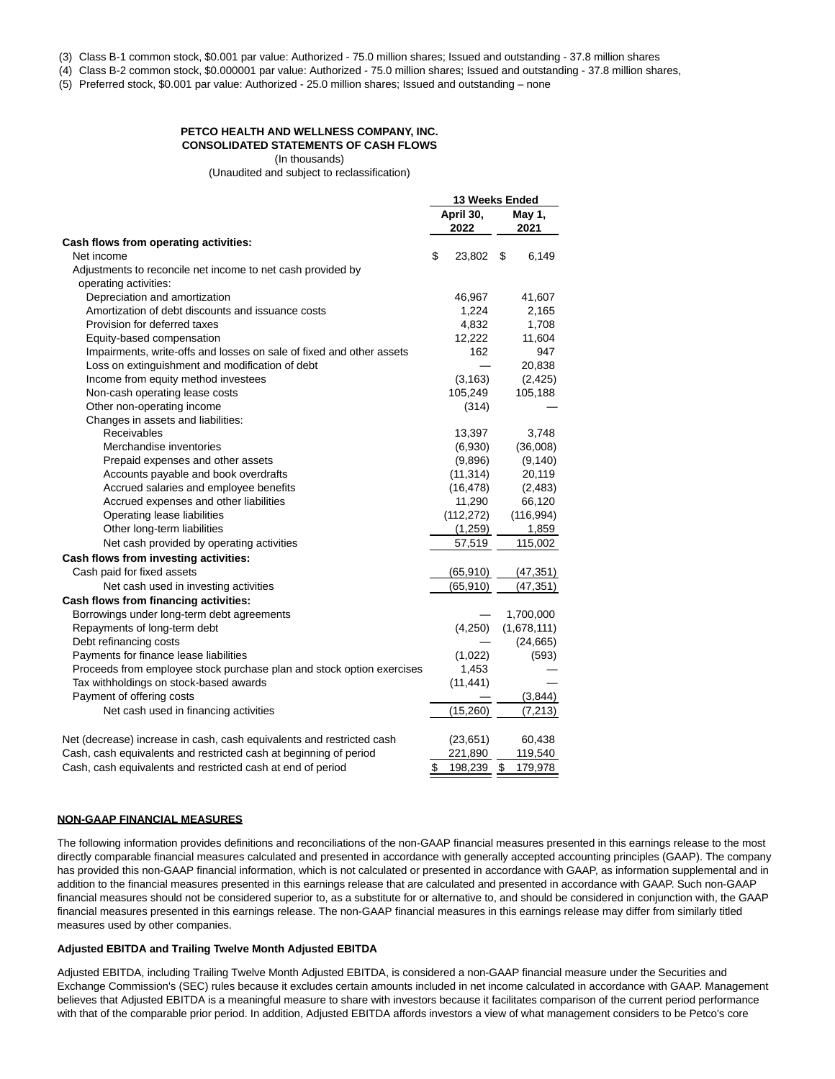(3) Class B-1 common stock, \$0.001 par value: Authorized - 75.0 million shares; Issued and outstanding - 37.8 million shares

(4) Class B-2 common stock, \$0.000001 par value: Authorized - 75.0 million shares; Issued and outstanding - 37.8 million shares,

(5) Preferred stock, \$0.001 par value: Authorized - 25.0 million shares; Issued and outstanding – none

#### **PETCO HEALTH AND WELLNESS COMPANY, INC. CONSOLIDATED STATEMENTS OF CASH FLOWS**

(In thousands)

(Unaudited and subject to reclassification)

|                                                                       | 13 Weeks Ended    |                |  |
|-----------------------------------------------------------------------|-------------------|----------------|--|
|                                                                       | April 30,<br>2022 | May 1,<br>2021 |  |
| Cash flows from operating activities:                                 |                   |                |  |
| Net income                                                            | \$<br>23,802      | 6,149<br>\$    |  |
| Adjustments to reconcile net income to net cash provided by           |                   |                |  |
| operating activities:                                                 |                   |                |  |
| Depreciation and amortization                                         | 46,967            | 41,607         |  |
| Amortization of debt discounts and issuance costs                     | 1.224             | 2,165          |  |
| Provision for deferred taxes                                          | 4,832             | 1,708          |  |
| Equity-based compensation                                             | 12,222            | 11,604         |  |
| Impairments, write-offs and losses on sale of fixed and other assets  | 162               | 947            |  |
| Loss on extinguishment and modification of debt                       |                   | 20,838         |  |
| Income from equity method investees                                   | (3, 163)          | (2, 425)       |  |
| Non-cash operating lease costs                                        | 105,249           | 105,188        |  |
| Other non-operating income                                            | (314)             |                |  |
| Changes in assets and liabilities:                                    |                   |                |  |
| Receivables                                                           | 13,397            | 3,748          |  |
| Merchandise inventories                                               | (6,930)           | (36,008)       |  |
| Prepaid expenses and other assets                                     | (9,896)           | (9, 140)       |  |
| Accounts payable and book overdrafts                                  | (11, 314)         | 20,119         |  |
| Accrued salaries and employee benefits                                | (16, 478)         | (2,483)        |  |
| Accrued expenses and other liabilities                                | 11,290            | 66,120         |  |
| Operating lease liabilities                                           | (112, 272)        | (116, 994)     |  |
| Other long-term liabilities                                           | (1,259)           | 1,859          |  |
| Net cash provided by operating activities                             | 57,519            | 115,002        |  |
| Cash flows from investing activities:                                 |                   |                |  |
| Cash paid for fixed assets                                            | (65, 910)         | (47, 351)      |  |
| Net cash used in investing activities                                 | (65, 910)         | (47, 351)      |  |
| Cash flows from financing activities:                                 |                   |                |  |
| Borrowings under long-term debt agreements                            |                   | 1,700,000      |  |
| Repayments of long-term debt                                          | (4,250)           | (1,678,111)    |  |
| Debt refinancing costs                                                |                   | (24, 665)      |  |
| Payments for finance lease liabilities                                | (1,022)           | (593)          |  |
| Proceeds from employee stock purchase plan and stock option exercises | 1,453             |                |  |
| Tax withholdings on stock-based awards                                | (11, 441)         |                |  |
| Payment of offering costs                                             |                   | (3,844)        |  |
|                                                                       | (15, 260)         |                |  |
| Net cash used in financing activities                                 |                   | (7, 213)       |  |
| Net (decrease) increase in cash, cash equivalents and restricted cash | (23, 651)         | 60,438         |  |
| Cash, cash equivalents and restricted cash at beginning of period     | 221,890           | 119,540        |  |
| Cash, cash equivalents and restricted cash at end of period           | \$<br>198,239     | \$<br>179,978  |  |

#### **NON-GAAP FINANCIAL MEASURES**

The following information provides definitions and reconciliations of the non-GAAP financial measures presented in this earnings release to the most directly comparable financial measures calculated and presented in accordance with generally accepted accounting principles (GAAP). The company has provided this non-GAAP financial information, which is not calculated or presented in accordance with GAAP, as information supplemental and in addition to the financial measures presented in this earnings release that are calculated and presented in accordance with GAAP. Such non-GAAP financial measures should not be considered superior to, as a substitute for or alternative to, and should be considered in conjunction with, the GAAP financial measures presented in this earnings release. The non-GAAP financial measures in this earnings release may differ from similarly titled measures used by other companies.

### **Adjusted EBITDA and Trailing Twelve Month Adjusted EBITDA**

Adjusted EBITDA, including Trailing Twelve Month Adjusted EBITDA, is considered a non-GAAP financial measure under the Securities and Exchange Commission's (SEC) rules because it excludes certain amounts included in net income calculated in accordance with GAAP. Management believes that Adjusted EBITDA is a meaningful measure to share with investors because it facilitates comparison of the current period performance with that of the comparable prior period. In addition, Adjusted EBITDA affords investors a view of what management considers to be Petco's core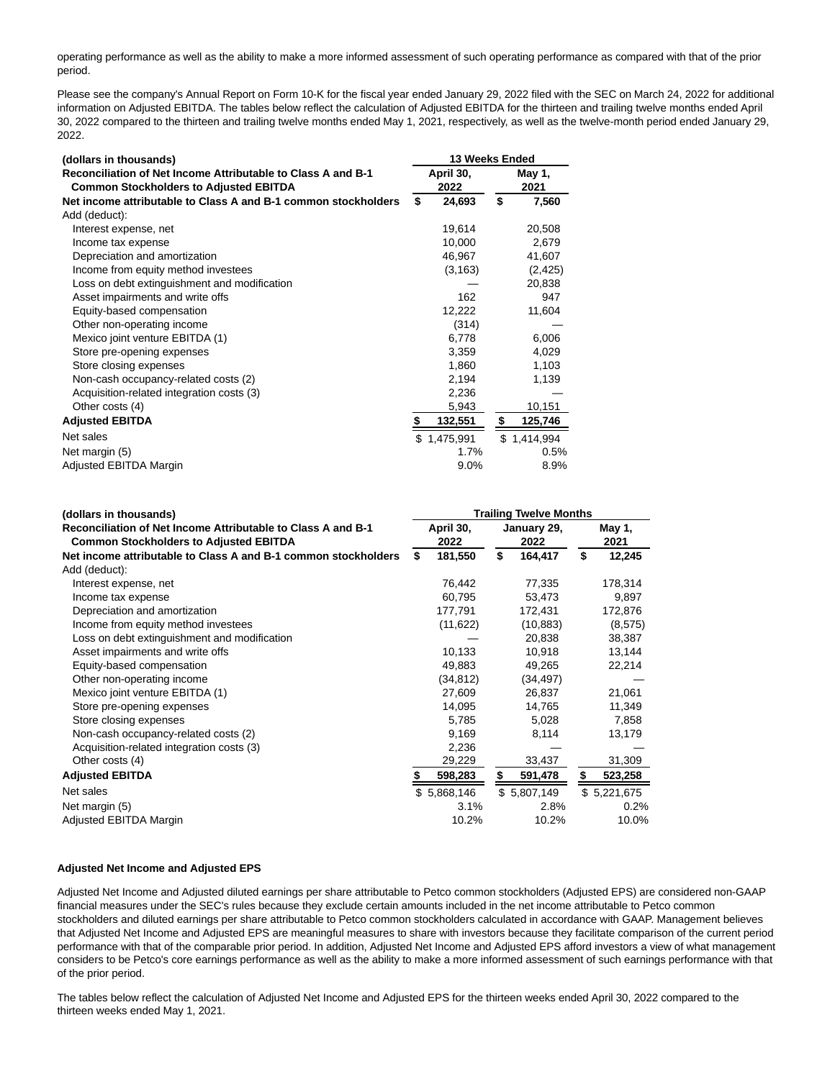operating performance as well as the ability to make a more informed assessment of such operating performance as compared with that of the prior period.

Please see the company's Annual Report on Form 10-K for the fiscal year ended January 29, 2022 filed with the SEC on March 24, 2022 for additional information on Adjusted EBITDA. The tables below reflect the calculation of Adjusted EBITDA for the thirteen and trailing twelve months ended April 30, 2022 compared to the thirteen and trailing twelve months ended May 1, 2021, respectively, as well as the twelve-month period ended January 29, 2022.

| (dollars in thousands)                                                                                        |                   | 13 Weeks Ended |                |             |  |  |  |  |  |
|---------------------------------------------------------------------------------------------------------------|-------------------|----------------|----------------|-------------|--|--|--|--|--|
| Reconciliation of Net Income Attributable to Class A and B-1<br><b>Common Stockholders to Adjusted EBITDA</b> | April 30,<br>2022 |                | May 1,<br>2021 |             |  |  |  |  |  |
| Net income attributable to Class A and B-1 common stockholders                                                | \$                | 24,693         | \$             | 7,560       |  |  |  |  |  |
| Add (deduct):                                                                                                 |                   |                |                |             |  |  |  |  |  |
| Interest expense, net                                                                                         |                   | 19,614         |                | 20,508      |  |  |  |  |  |
| Income tax expense                                                                                            |                   | 10,000         |                | 2,679       |  |  |  |  |  |
| Depreciation and amortization                                                                                 |                   | 46,967         |                | 41,607      |  |  |  |  |  |
| Income from equity method investees                                                                           |                   | (3, 163)       |                | (2, 425)    |  |  |  |  |  |
| Loss on debt extinguishment and modification                                                                  |                   |                |                | 20,838      |  |  |  |  |  |
| Asset impairments and write offs                                                                              |                   | 162            |                | 947         |  |  |  |  |  |
| Equity-based compensation                                                                                     |                   | 12,222         |                | 11,604      |  |  |  |  |  |
| Other non-operating income                                                                                    |                   | (314)          |                |             |  |  |  |  |  |
| Mexico joint venture EBITDA (1)                                                                               |                   | 6,778          |                | 6,006       |  |  |  |  |  |
| Store pre-opening expenses                                                                                    |                   | 3,359          |                | 4,029       |  |  |  |  |  |
| Store closing expenses                                                                                        |                   | 1,860          |                | 1,103       |  |  |  |  |  |
| Non-cash occupancy-related costs (2)                                                                          |                   | 2,194          |                | 1,139       |  |  |  |  |  |
| Acquisition-related integration costs (3)                                                                     |                   | 2,236          |                |             |  |  |  |  |  |
| Other costs (4)                                                                                               |                   | 5,943          |                | 10,151      |  |  |  |  |  |
| <b>Adjusted EBITDA</b>                                                                                        | S                 | 132,551        | \$             | 125,746     |  |  |  |  |  |
| Net sales                                                                                                     |                   | \$1,475,991    |                | \$1,414,994 |  |  |  |  |  |
| Net margin (5)                                                                                                |                   | $1.7\%$        |                | 0.5%        |  |  |  |  |  |
| Adjusted EBITDA Margin                                                                                        |                   | 9.0%           |                | 8.9%        |  |  |  |  |  |

| (dollars in thousands)                                                                                        | <b>Trailing Twelve Months</b> |                   |    |                     |    |                |
|---------------------------------------------------------------------------------------------------------------|-------------------------------|-------------------|----|---------------------|----|----------------|
| Reconciliation of Net Income Attributable to Class A and B-1<br><b>Common Stockholders to Adjusted EBITDA</b> |                               | April 30,<br>2022 |    | January 29,<br>2022 |    | May 1,<br>2021 |
| Net income attributable to Class A and B-1 common stockholders                                                | S                             | 181,550           | \$ | 164,417             | \$ | 12,245         |
| Add (deduct):                                                                                                 |                               |                   |    |                     |    |                |
| Interest expense, net                                                                                         |                               | 76,442            |    | 77,335              |    | 178,314        |
| Income tax expense                                                                                            |                               | 60,795            |    | 53,473              |    | 9,897          |
| Depreciation and amortization                                                                                 |                               | 177,791           |    | 172,431             |    | 172,876        |
| Income from equity method investees                                                                           |                               | (11, 622)         |    | (10, 883)           |    | (8,575)        |
| Loss on debt extinguishment and modification                                                                  |                               |                   |    | 20,838              |    | 38,387         |
| Asset impairments and write offs                                                                              |                               | 10,133            |    | 10,918              |    | 13,144         |
| Equity-based compensation                                                                                     |                               | 49,883            |    | 49,265              |    | 22,214         |
| Other non-operating income                                                                                    |                               | (34, 812)         |    | (34, 497)           |    |                |
| Mexico joint venture EBITDA (1)                                                                               |                               | 27,609            |    | 26,837              |    | 21,061         |
| Store pre-opening expenses                                                                                    |                               | 14,095            |    | 14,765              |    | 11,349         |
| Store closing expenses                                                                                        |                               | 5,785             |    | 5,028               |    | 7,858          |
| Non-cash occupancy-related costs (2)                                                                          |                               | 9,169             |    | 8,114               |    | 13,179         |
| Acquisition-related integration costs (3)                                                                     |                               | 2,236             |    |                     |    |                |
| Other costs (4)                                                                                               |                               | 29,229            |    | 33,437              |    | 31,309         |
| <b>Adjusted EBITDA</b>                                                                                        |                               | 598,283           | S. | 591,478             | \$ | 523,258        |
| Net sales                                                                                                     |                               | \$5,868,146       |    | \$5,807,149         |    | \$5,221,675    |
| Net margin (5)                                                                                                |                               | 3.1%              |    | 2.8%                |    | $0.2\%$        |
| Adjusted EBITDA Margin                                                                                        |                               | 10.2%             |    | 10.2%               |    | 10.0%          |

# **Adjusted Net Income and Adjusted EPS**

Adjusted Net Income and Adjusted diluted earnings per share attributable to Petco common stockholders (Adjusted EPS) are considered non-GAAP financial measures under the SEC's rules because they exclude certain amounts included in the net income attributable to Petco common stockholders and diluted earnings per share attributable to Petco common stockholders calculated in accordance with GAAP. Management believes that Adjusted Net Income and Adjusted EPS are meaningful measures to share with investors because they facilitate comparison of the current period performance with that of the comparable prior period. In addition, Adjusted Net Income and Adjusted EPS afford investors a view of what management considers to be Petco's core earnings performance as well as the ability to make a more informed assessment of such earnings performance with that of the prior period.

The tables below reflect the calculation of Adjusted Net Income and Adjusted EPS for the thirteen weeks ended April 30, 2022 compared to the thirteen weeks ended May 1, 2021.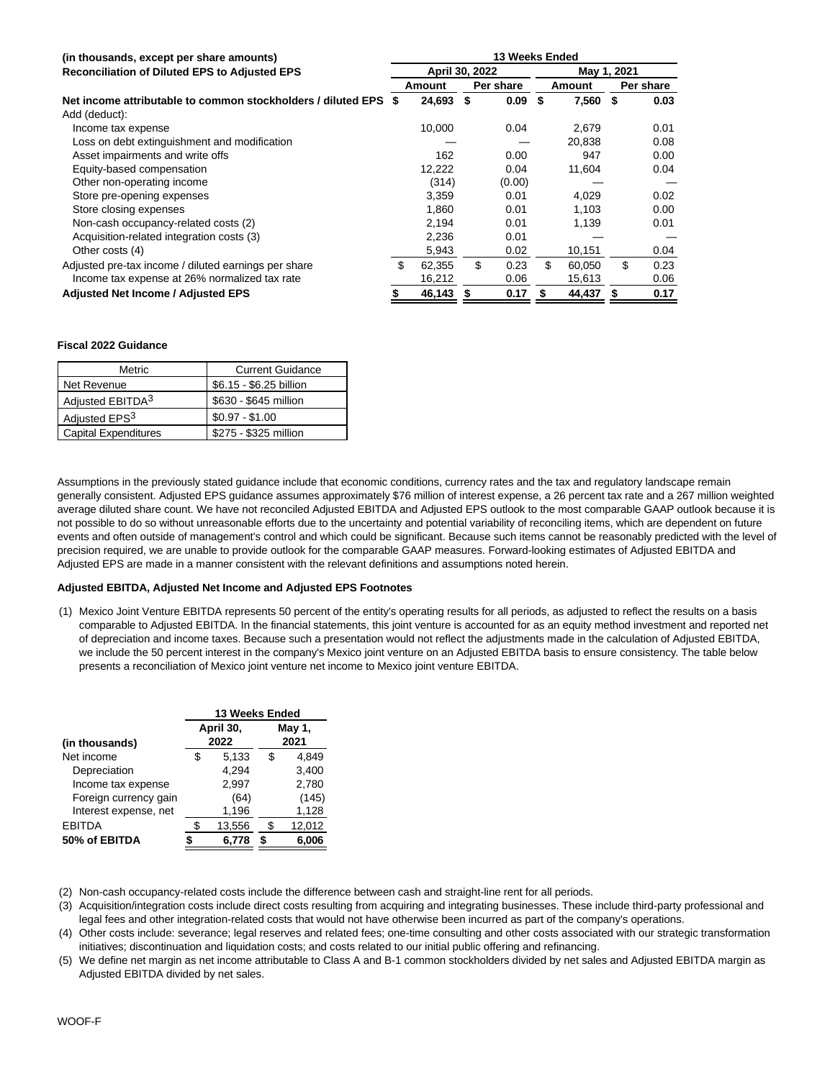| (in thousands, except per share amounts)                        | 13 Weeks Ended |                |    |           |             |        |    |           |  |
|-----------------------------------------------------------------|----------------|----------------|----|-----------|-------------|--------|----|-----------|--|
| <b>Reconciliation of Diluted EPS to Adjusted EPS</b>            |                | April 30, 2022 |    |           | May 1, 2021 |        |    |           |  |
|                                                                 |                | Amount         |    | Per share |             | Amount |    | Per share |  |
| Net income attributable to common stockholders / diluted EPS \$ |                | 24,693         | S  | 0.09      | \$          | 7,560  | \$ | 0.03      |  |
| Add (deduct):                                                   |                |                |    |           |             |        |    |           |  |
| Income tax expense                                              |                | 10,000         |    | 0.04      |             | 2,679  |    | 0.01      |  |
| Loss on debt extinguishment and modification                    |                |                |    |           |             | 20.838 |    | 0.08      |  |
| Asset impairments and write offs                                |                | 162            |    | 0.00      |             | 947    |    | 0.00      |  |
| Equity-based compensation                                       |                | 12,222         |    | 0.04      |             | 11,604 |    | 0.04      |  |
| Other non-operating income                                      |                | (314)          |    | (0.00)    |             |        |    |           |  |
| Store pre-opening expenses                                      |                | 3,359          |    | 0.01      |             | 4,029  |    | 0.02      |  |
| Store closing expenses                                          |                | 1.860          |    | 0.01      |             | 1.103  |    | 0.00      |  |
| Non-cash occupancy-related costs (2)                            |                | 2.194          |    | 0.01      |             | 1,139  |    | 0.01      |  |
| Acquisition-related integration costs (3)                       |                | 2,236          |    | 0.01      |             |        |    |           |  |
| Other costs (4)                                                 |                | 5,943          |    | 0.02      |             | 10,151 |    | 0.04      |  |
| Adjusted pre-tax income / diluted earnings per share            | \$.            | 62.355         | \$ | 0.23      | \$.         | 60.050 | \$ | 0.23      |  |
| Income tax expense at 26% normalized tax rate                   |                | 16,212         |    | 0.06      |             | 15,613 |    | 0.06      |  |
| <b>Adjusted Net Income / Adjusted EPS</b>                       |                | 46,143         | S  | 0.17      |             | 44,437 | \$ | 0.17      |  |

## **Fiscal 2022 Guidance**

| Metric                       | <b>Current Guidance</b> |
|------------------------------|-------------------------|
| Net Revenue                  | \$6.15 - \$6.25 billion |
| Adjusted EBITDA <sup>3</sup> | \$630 - \$645 million   |
| Adjusted EPS <sup>3</sup>    | $$0.97 - $1.00$         |
| <b>Capital Expenditures</b>  | \$275 - \$325 million   |

Assumptions in the previously stated guidance include that economic conditions, currency rates and the tax and regulatory landscape remain generally consistent. Adjusted EPS guidance assumes approximately \$76 million of interest expense, a 26 percent tax rate and a 267 million weighted average diluted share count. We have not reconciled Adjusted EBITDA and Adjusted EPS outlook to the most comparable GAAP outlook because it is not possible to do so without unreasonable efforts due to the uncertainty and potential variability of reconciling items, which are dependent on future events and often outside of management's control and which could be significant. Because such items cannot be reasonably predicted with the level of precision required, we are unable to provide outlook for the comparable GAAP measures. Forward-looking estimates of Adjusted EBITDA and Adjusted EPS are made in a manner consistent with the relevant definitions and assumptions noted herein.

# **Adjusted EBITDA, Adjusted Net Income and Adjusted EPS Footnotes**

(1) Mexico Joint Venture EBITDA represents 50 percent of the entity's operating results for all periods, as adjusted to reflect the results on a basis comparable to Adjusted EBITDA. In the financial statements, this joint venture is accounted for as an equity method investment and reported net of depreciation and income taxes. Because such a presentation would not reflect the adjustments made in the calculation of Adjusted EBITDA, we include the 50 percent interest in the company's Mexico joint venture on an Adjusted EBITDA basis to ensure consistency. The table below presents a reconciliation of Mexico joint venture net income to Mexico joint venture EBITDA.

|                       | 13 Weeks Ended |           |   |        |  |  |  |
|-----------------------|----------------|-----------|---|--------|--|--|--|
|                       |                | April 30, |   | May 1, |  |  |  |
| (in thousands)        |                | 2022      |   | 2021   |  |  |  |
| Net income            | S              | 5,133     | S | 4.849  |  |  |  |
| Depreciation          |                | 4.294     |   | 3,400  |  |  |  |
| Income tax expense    |                | 2,997     |   | 2,780  |  |  |  |
| Foreign currency gain |                | (64)      |   | (145)  |  |  |  |
| Interest expense, net |                | 1,196     |   | 1,128  |  |  |  |
| <b>EBITDA</b>         |                | 13,556    |   | 12,012 |  |  |  |
| 50% of EBITDA         |                | 6,778     | S | 6,006  |  |  |  |

(2) Non-cash occupancy-related costs include the difference between cash and straight-line rent for all periods.

(3) Acquisition/integration costs include direct costs resulting from acquiring and integrating businesses. These include third-party professional and legal fees and other integration-related costs that would not have otherwise been incurred as part of the company's operations.

(4) Other costs include: severance; legal reserves and related fees; one-time consulting and other costs associated with our strategic transformation initiatives; discontinuation and liquidation costs; and costs related to our initial public offering and refinancing.

(5) We define net margin as net income attributable to Class A and B-1 common stockholders divided by net sales and Adjusted EBITDA margin as Adjusted EBITDA divided by net sales.